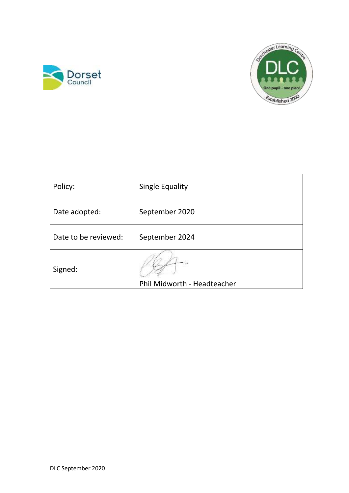



| Policy:              | <b>Single Equality</b>      |
|----------------------|-----------------------------|
| Date adopted:        | September 2020              |
| Date to be reviewed: | September 2024              |
| Signed:              | Phil Midworth - Headteacher |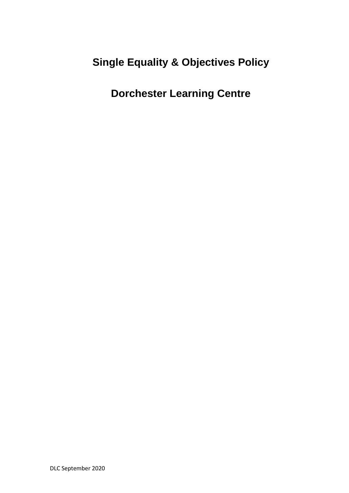# **Single Equality & Objectives Policy**

**Dorchester Learning Centre**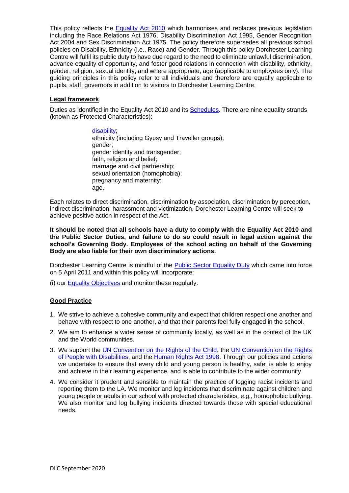This policy reflects the **Equality Act 2010** which harmonises and replaces previous legislation including the Race Relations Act 1976, Disability Discrimination Act 1995, Gender Recognition Act 2004 and Sex Discrimination Act 1975. The policy therefore supersedes all previous school policies on Disability, Ethnicity (i.e., Race) and Gender. Through this policy Dorchester Learning Centre will fulfil its public duty to have due regard to the need to eliminate unlawful discrimination, advance equality of opportunity, and foster good relations in connection with disability, ethnicity, gender, religion, sexual identity, and where appropriate, age (applicable to employees only). The guiding principles in this policy refer to all individuals and therefore are equally applicable to pupils, staff, governors in addition to visitors to Dorchester Learning Centre.

## **Legal framework**

Duties as identified in the Equality Act 2010 and its [Schedules.](http://www.legislation.gov.uk/ukpga/2010/15/contents) There are nine equality strands (known as Protected Characteristics):

> [disability;](http://www.direct.gov.uk/en/DisabledPeople/RightsAndObligations/DisabilityRights/DG_4001068) ethnicity (including Gypsy and Traveller groups); gender; gender identity and transgender; faith, religion and belief; marriage and civil partnership; sexual orientation (homophobia); pregnancy and maternity; age.

Each relates to direct discrimination, discrimination by association, discrimination by perception, indirect discrimination; harassment and victimization. Dorchester Learning Centre will seek to achieve positive action in respect of the Act.

**It should be noted that all schools have a duty to comply with the Equality Act 2010 and the Public Sector Duties, and failure to do so could result in legal action against the school's Governing Body. Employees of the school acting on behalf of the Governing Body are also liable for their own discriminatory actions.**

Dorchester Learning Centre is mindful of the **Public Sector Equality Duty** which came into force on 5 April 2011 and within this policy will incorporate:

(i) our [Equality Objectives](http://www.equalityhumanrights.com/uploaded_files/EqualityAct/PSED/objectives_guideance.pdf) and monitor these regularly:

# **Good Practice**

- 1. We strive to achieve a cohesive community and expect that children respect one another and behave with respect to one another, and that their parents feel fully engaged in the school.
- 2. We aim to enhance a wider sense of community locally, as well as in the context of the UK and the World communities.
- 3. We support the [UN Convention on the Rights of the Child,](http://www.unicef.org/crc/files/Rights_overview.pdf) the [UN Convention on the Rights](http://www.un.org/disabilities/documents/convention/convoptprot-e.pdf)  [of People with Disabilities,](http://www.un.org/disabilities/documents/convention/convoptprot-e.pdf) and the [Human Rights Act 1998.](http://www.legislation.gov.uk/ukpga/1998/42/contents) Through our policies and actions we undertake to ensure that every child and young person is healthy, safe, is able to enjoy and achieve in their learning experience, and is able to contribute to the wider community.
- 4. We consider it prudent and sensible to maintain the practice of logging racist incidents and reporting them to the LA. We monitor and log incidents that discriminate against children and young people or adults in our school with protected characteristics, e.g., homophobic bullying. We also monitor and log bullying incidents directed towards those with special educational needs.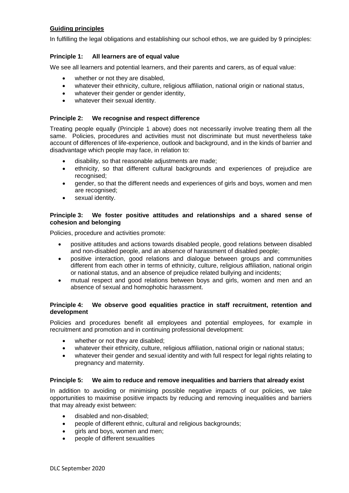# **Guiding principles**

In fulfilling the legal obligations and establishing our school ethos, we are guided by 9 principles:

## **Principle 1: All learners are of equal value**

We see all learners and potential learners, and their parents and carers, as of equal value:

- whether or not they are disabled,
- whatever their ethnicity, culture, religious affiliation, national origin or national status,
- whatever their gender or gender identity,
- whatever their sexual identity.

## **Principle 2: We recognise and respect difference**

Treating people equally (Principle 1 above) does not necessarily involve treating them all the same. Policies, procedures and activities must not discriminate but must nevertheless take account of differences of life-experience, outlook and background, and in the kinds of barrier and disadvantage which people may face, in relation to:

- disability, so that reasonable adjustments are made;
- ethnicity, so that different cultural backgrounds and experiences of prejudice are recognised;
- gender, so that the different needs and experiences of girls and boys, women and men are recognised;
- sexual identity.

## **Principle 3: We foster positive attitudes and relationships and a shared sense of cohesion and belonging**

Policies, procedure and activities promote:

- positive attitudes and actions towards disabled people, good relations between disabled and non-disabled people, and an absence of harassment of disabled people;
- positive interaction, good relations and dialogue between groups and communities different from each other in terms of ethnicity, culture, religious affiliation, national origin or national status, and an absence of prejudice related bullying and incidents;
- mutual respect and good relations between boys and girls, women and men and an absence of sexual and homophobic harassment.

## **Principle 4: We observe good equalities practice in staff recruitment, retention and development**

Policies and procedures benefit all employees and potential employees, for example in recruitment and promotion and in continuing professional development:

- whether or not they are disabled;
- whatever their ethnicity, culture, religious affiliation, national origin or national status;
- whatever their gender and sexual identity and with full respect for legal rights relating to pregnancy and maternity.

### **Principle 5: We aim to reduce and remove inequalities and barriers that already exist**

In addition to avoiding or minimising possible negative impacts of our policies, we take opportunities to maximise positive impacts by reducing and removing inequalities and barriers that may already exist between:

- disabled and non-disabled;
- people of different ethnic, cultural and religious backgrounds;
- girls and boys, women and men;
- people of different sexualities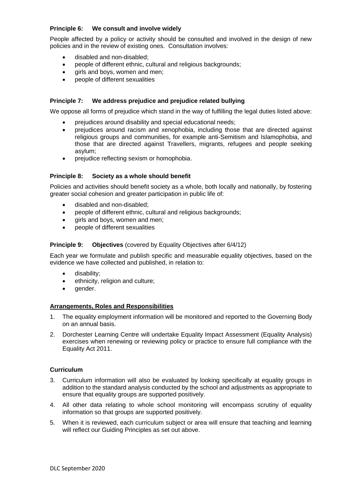## **Principle 6: We consult and involve widely**

People affected by a policy or activity should be consulted and involved in the design of new policies and in the review of existing ones. Consultation involves:

- disabled and non-disabled;
- people of different ethnic, cultural and religious backgrounds;
- girls and boys, women and men;
- people of different sexualities

### **Principle 7: We address prejudice and prejudice related bullying**

We oppose all forms of prejudice which stand in the way of fulfilling the legal duties listed above:

- prejudices around disability and special educational needs;
- prejudices around racism and xenophobia, including those that are directed against religious groups and communities, for example anti-Semitism and Islamophobia, and those that are directed against Travellers, migrants, refugees and people seeking asylum;
- prejudice reflecting sexism or homophobia.

#### **Principle 8: Society as a whole should benefit**

Policies and activities should benefit society as a whole, both locally and nationally, by fostering greater social cohesion and greater participation in public life of:

- disabled and non-disabled;
- people of different ethnic, cultural and religious backgrounds;
- girls and boys, women and men;
- people of different sexualities

#### **Principle 9: Objectives** (covered by Equality Objectives after 6/4/12)

Each year we formulate and publish specific and measurable equality objectives, based on the evidence we have collected and published, in relation to:

- disability;
- ethnicity, religion and culture;
- gender.

#### **Arrangements, Roles and Responsibilities**

- 1. The equality employment information will be monitored and reported to the Governing Body on an annual basis.
- 2. Dorchester Learning Centre will undertake Equality Impact Assessment (Equality Analysis) exercises when renewing or reviewing policy or practice to ensure full compliance with the Equality Act 2011.

#### **Curriculum**

- 3. Curriculum information will also be evaluated by looking specifically at equality groups in addition to the standard analysis conducted by the school and adjustments as appropriate to ensure that equality groups are supported positively.
- 4. All other data relating to whole school monitoring will encompass scrutiny of equality information so that groups are supported positively.
- 5. When it is reviewed, each curriculum subject or area will ensure that teaching and learning will reflect our Guiding Principles as set out above.